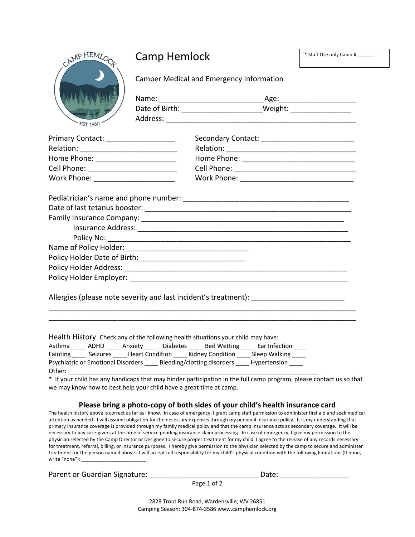

## Camp Hemlock

\* Staff Use only Cabin # \_\_\_\_\_\_

Camper Medical and Emergency Information

| Name:          | Age:    |
|----------------|---------|
| Date of Birth: | Weight: |
| Address:       |         |

| <b>Primary Contact:</b> | Secondary Contact: |
|-------------------------|--------------------|
| Relation:               | Relation:          |
| Home Phone:             | Home Phone:        |
| Cell Phone:             | Cell Phone:        |
| Work Phone:             | Work Phone:        |

Pediatrician's name and phone number: **Example 2018** 

| Date of last tetanus booster: |  |
|-------------------------------|--|
| Family Insurance Company:     |  |
| Insurance Address:            |  |
| Policy No: __________         |  |
| Name of Policy Holder:        |  |
| Policy Holder Date of Birth:  |  |
| Policy Holder Address:        |  |
| Policy Holder Employer:       |  |
|                               |  |

\_\_\_\_\_\_\_\_\_\_\_\_\_\_\_\_\_\_\_\_\_\_\_\_\_\_\_\_\_\_\_\_\_\_\_\_\_\_\_\_\_\_\_\_\_\_\_\_\_\_\_\_\_\_\_\_\_\_\_\_\_\_\_\_\_\_\_\_\_\_\_\_\_\_\_\_ \_\_\_\_\_\_\_\_\_\_\_\_\_\_\_\_\_\_\_\_\_\_\_\_\_\_\_\_\_\_\_\_\_\_\_\_\_\_\_\_\_\_\_\_\_\_\_\_\_\_\_\_\_\_\_\_\_\_\_\_\_\_\_\_\_\_\_\_\_\_\_\_\_\_\_\_

Allergies (please note severity and last incident's treatment): \_\_\_\_\_\_\_\_\_\_\_\_\_\_\_\_

Health History Check any of the following health situations your child may have:

| Asthma                                    | ADHD     | Anxiety                | <b>Diabetes</b>             | <b>Bed Wetting</b> | Ear Infection |  |
|-------------------------------------------|----------|------------------------|-----------------------------|--------------------|---------------|--|
| Fainting                                  | Seizures | <b>Heart Condition</b> |                             | Kidney Condition   | Sleep Walking |  |
| <b>Psychiatric or Emotional Disorders</b> |          |                        | Bleeding/clotting disorders |                    | Hypertension  |  |
| Other:                                    |          |                        |                             |                    |               |  |

\* If your child has any handicaps that may hinder participation in the full camp program, please contact us so that we may know how to best help your child have a great time at camp.

## **Please bring a photo-copy of both sides of your child's health insurance card**

The health history above is correct as far as I know. In case of emergency, I grant camp staff permission to administer first aid and seek medical attention as needed. I will assume obligation for the necessary expenses through my personal insurance policy. It is my understanding that primary insurance coverage is provided through my family medical policy and that the camp insurance acts as secondary coverage. It will be necessary to pay care-givers at the time of service pending insurance claim processing. In case of emergency, I give my permission to the physician selected by the Camp Director or Designee to secure proper treatment for my child. I agree to the release of any records necessary for treatment, referral, billing, or insurance purposes. I hereby give permission to the physician selected by the camp to secure and administer treatment for the person named above. I will accept full responsibility for my child's physical condition with the following limitations (If none, write "none"):  $\_$ 

Parent or Guardian Signature: \_\_\_\_\_\_\_\_\_\_\_\_\_\_\_\_\_\_\_\_\_\_\_\_\_\_\_ Date: \_\_\_\_\_\_\_\_\_\_\_\_\_\_\_\_\_

Page 1 of 2

2828 Trout Run Road, Wardensville, WV 26851 Camping Season: 304-874-3586 www.camphemlock.org